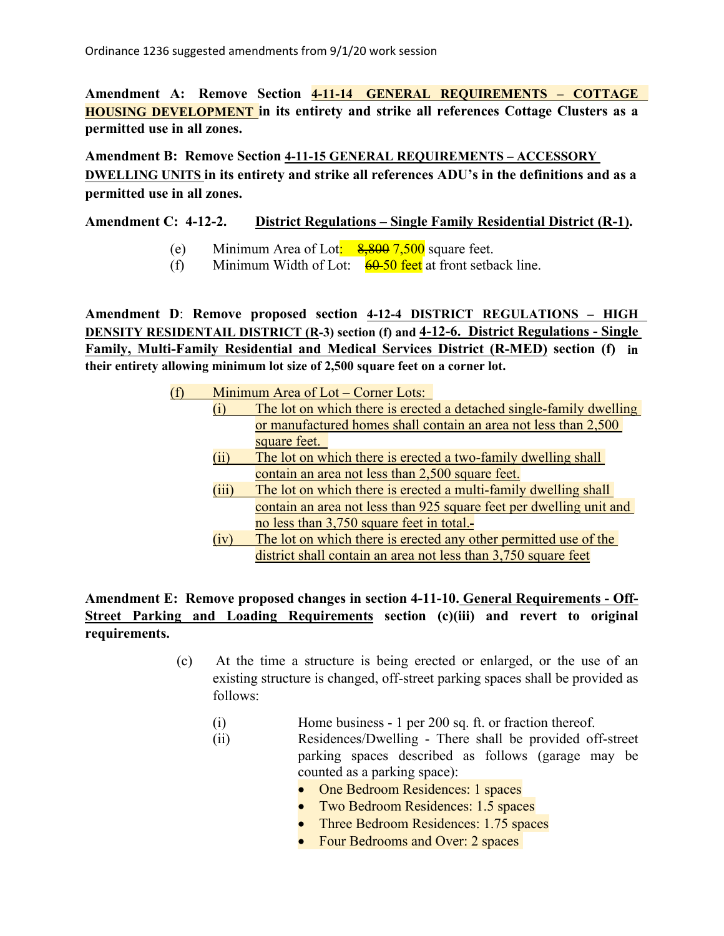**Amendment A: Remove Section 4-11-14 GENERAL REQUIREMENTS – COTTAGE HOUSING DEVELOPMENT in its entirety and strike all references Cottage Clusters as a permitted use in all zones.**

**Amendment B: Remove Section 4-11-15 GENERAL REQUIREMENTS – ACCESSORY DWELLING UNITS in its entirety and strike all references ADU's in the definitions and as a permitted use in all zones.**

**Amendment C: 4-12-2. District Regulations – Single Family Residential District (R-1).**

- (e) Minimum Area of Lot:  $\frac{8,800,7,500}{8,800,7}$  square feet.
- (f) Minimum Width of Lot:  $\frac{60-50 \text{ feet}}{60}$  at front setback line.

**Amendment D**: **Remove proposed section 4-12-4 DISTRICT REGULATIONS – HIGH DENSITY RESIDENTAIL DISTRICT (R-3) section (f) and 4-12-6. District Regulations - Single Family, Multi-Family Residential and Medical Services District (R-MED) section (f) in their entirety allowing minimum lot size of 2,500 square feet on a corner lot.**

> (f) Minimum Area of Lot – Corner Lots: (i) The lot on which there is erected a detached single-family dwelling or manufactured homes shall contain an area not less than 2,500 square feet. (ii) The lot on which there is erected a two-family dwelling shall contain an area not less than 2,500 square feet. (iii) The lot on which there is erected a multi-family dwelling shall contain an area not less than 925 square feet per dwelling unit and no less than 3,750 square feet in total. (iv) The lot on which there is erected any other permitted use of the district shall contain an area not less than 3,750 square feet

## **Amendment E: Remove proposed changes in section 4-11-10. General Requirements - Off-Street Parking and Loading Requirements section (c)(iii) and revert to original requirements.**

- (c) At the time a structure is being erected or enlarged, or the use of an existing structure is changed, off-street parking spaces shall be provided as follows:
	- (i) Home business 1 per 200 sq. ft. or fraction thereof.
	- (ii) Residences/Dwelling There shall be provided off-street parking spaces described as follows (garage may be counted as a parking space):
		- One Bedroom Residences: 1 spaces
		- Two Bedroom Residences: 1.5 spaces
		- Three Bedroom Residences: 1.75 spaces
		- Four Bedrooms and Over: 2 spaces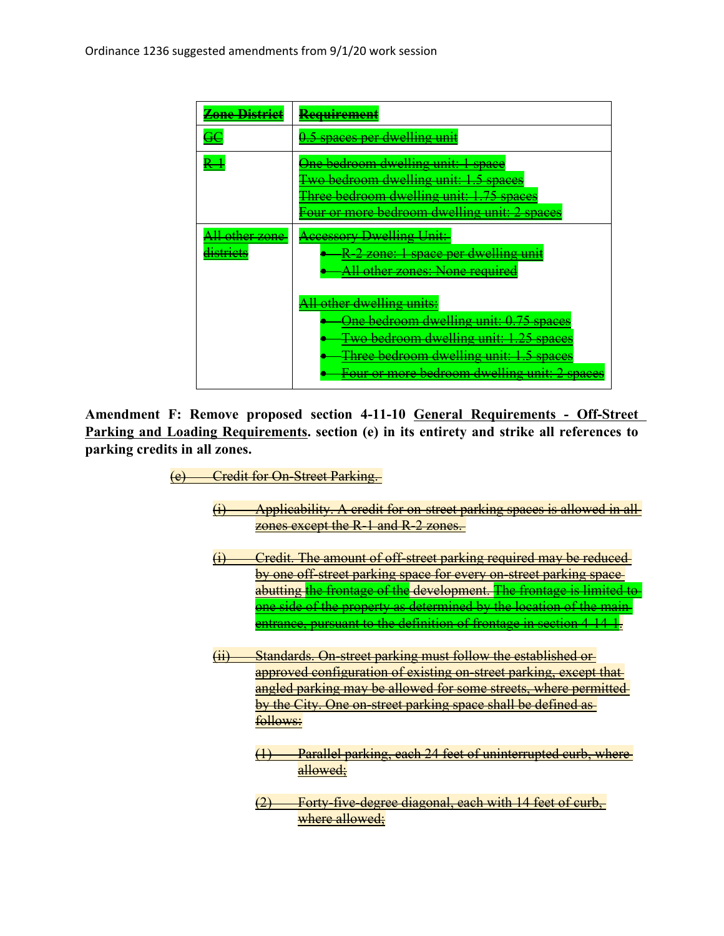| <del>Zone District</del>                          | <del>Requirement</del>                                                                                                                                                                                   |
|---------------------------------------------------|----------------------------------------------------------------------------------------------------------------------------------------------------------------------------------------------------------|
|                                                   | 0.5 spaces per dwelling unit                                                                                                                                                                             |
|                                                   | One bedroom dwelling unit: 1 space<br><b>Two bedroom dwelling unit: 1.5 spaces</b><br>Three bedroom dwelling unit: 1.75 spaces<br>Four or more bedroom dwelling unit: 2 spaces                           |
| <del>All other zone</del><br><del>dıstrıcts</del> | <b>Accessory Dwelling Unit:</b><br><del>R-2 zone: 1 space per dwelling unit</del><br>All other zones: None required                                                                                      |
|                                                   | All other dwelling units:<br>One bedroom dwelling unit: 0.75 spaces<br>Two bedroom dwelling unit: 1.25 spaces<br>Three bedroom dwelling unit: 1.5 spaces<br>Four or more bedroom dwelling unit: 2 spaces |

**Amendment F: Remove proposed section 4-11-10 General Requirements - Off-Street Parking and Loading Requirements. section (e) in its entirety and strike all references to parking credits in all zones.**

- (e) Credit for On-Street Parking.
	- (i) Applicability. A credit for on-street parking spaces is allowed in all zones except the R-1 and R-2 zones.
	- (i) Credit. The amount of off-street parking required may be reduced by one off-street parking space for every on-street parking spaceabutting the frontage of the development. The frontage is limited to one side of the property as determined by the location of the main entrance, pursuant to the definition of frontage in section 4-14-1.
	- (ii) Standards. On-street parking must follow the established or approved configuration of existing on-street parking, except that angled parking may be allowed for some streets, where permitted by the City. One on-street parking space shall be defined as follows:
		- (1) Parallel parking, each 24 feet of uninterrupted curb, where allowed;
		- (2) Forty-five-degree diagonal, each with 14 feet of curb, where allowed;